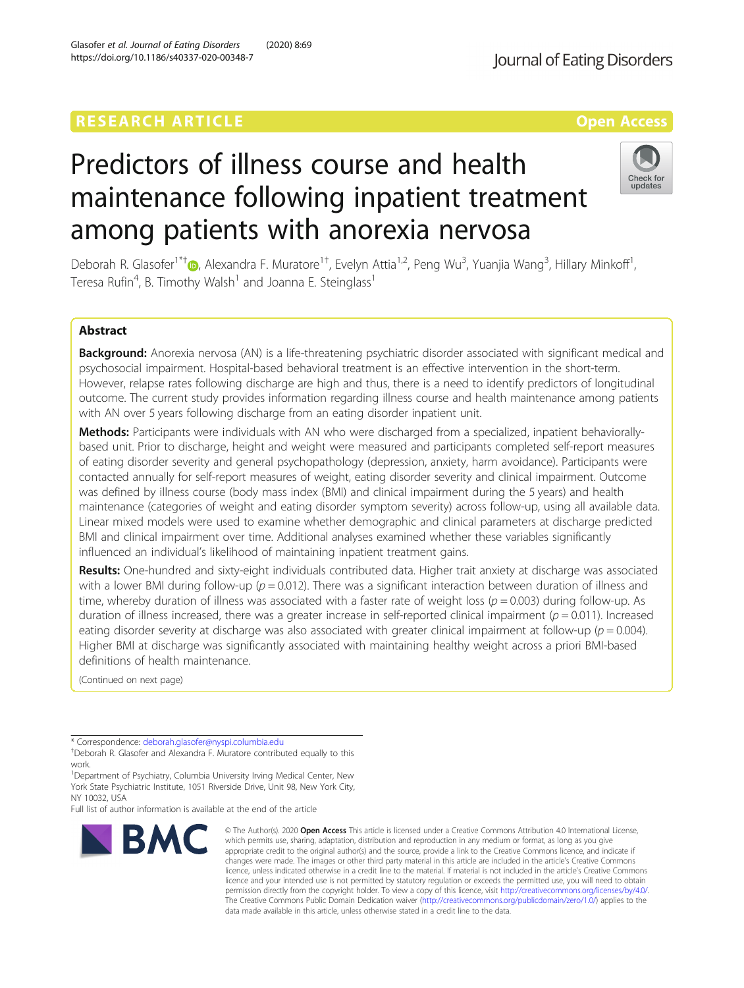## **RESEARCH ARTICLE EXECUTE: CONSIDERING A RESEARCH ARTICLE**

# Predictors of illness course and health maintenance following inpatient treatment among patients with anorexia nervosa

Deborah R. Glasofer<sup>1\*[†](http://orcid.org/0000-0001-7434-8630)</sup>®, Alexandra F. Muratore<sup>1†</sup>, Evelyn Attia<sup>1,2</sup>, Peng Wu<sup>3</sup>, Yuanjia Wang<sup>3</sup>, Hillary Minkoff<sup>1</sup> , Teresa Rufin<sup>4</sup>, B. Timothy Walsh<sup>1</sup> and Joanna E. Steinglass<sup>1</sup>

## Abstract

Background: Anorexia nervosa (AN) is a life-threatening psychiatric disorder associated with significant medical and psychosocial impairment. Hospital-based behavioral treatment is an effective intervention in the short-term. However, relapse rates following discharge are high and thus, there is a need to identify predictors of longitudinal outcome. The current study provides information regarding illness course and health maintenance among patients with AN over 5 years following discharge from an eating disorder inpatient unit.

Methods: Participants were individuals with AN who were discharged from a specialized, inpatient behaviorallybased unit. Prior to discharge, height and weight were measured and participants completed self-report measures of eating disorder severity and general psychopathology (depression, anxiety, harm avoidance). Participants were contacted annually for self-report measures of weight, eating disorder severity and clinical impairment. Outcome was defined by illness course (body mass index (BMI) and clinical impairment during the 5 years) and health maintenance (categories of weight and eating disorder symptom severity) across follow-up, using all available data. Linear mixed models were used to examine whether demographic and clinical parameters at discharge predicted BMI and clinical impairment over time. Additional analyses examined whether these variables significantly influenced an individual's likelihood of maintaining inpatient treatment gains.

Results: One-hundred and sixty-eight individuals contributed data. Higher trait anxiety at discharge was associated with a lower BMI during follow-up ( $p = 0.012$ ). There was a significant interaction between duration of illness and time, whereby duration of illness was associated with a faster rate of weight loss ( $p = 0.003$ ) during follow-up. As duration of illness increased, there was a greater increase in self-reported clinical impairment ( $p = 0.011$ ). Increased eating disorder severity at discharge was also associated with greater clinical impairment at follow-up ( $p = 0.004$ ). Higher BMI at discharge was significantly associated with maintaining healthy weight across a priori BMI-based definitions of health maintenance.

(Continued on next page)

\* Correspondence: [deborah.glasofer@nyspi.columbia.edu](mailto:deborah.glasofer@nyspi.columbia.edu) †

Deborah R. Glasofer and Alexandra F. Muratore contributed equally to this work.

<sup>1</sup>Department of Psychiatry, Columbia University Irving Medical Center, New York State Psychiatric Institute, 1051 Riverside Drive, Unit 98, New York City, NY 10032, USA

Full list of author information is available at the end of the article

data made available in this article, unless otherwise stated in a credit line to the data.

© The Author(s), 2020 **Open Access** This article is licensed under a Creative Commons Attribution 4.0 International License,



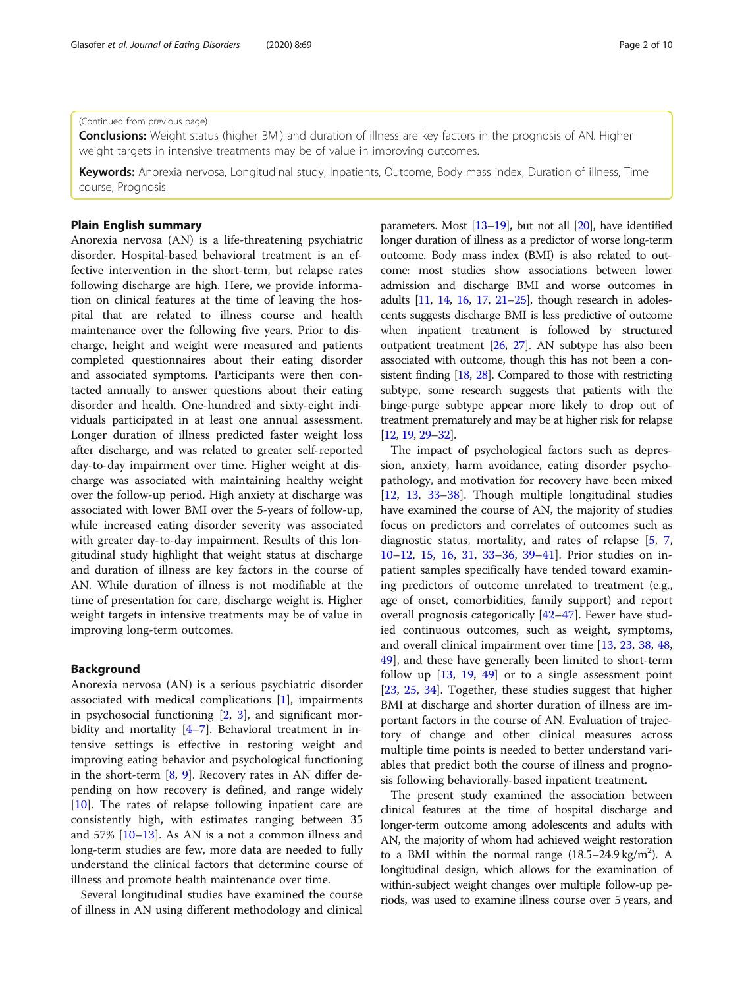#### (Continued from previous page)

**Conclusions:** Weight status (higher BMI) and duration of illness are key factors in the prognosis of AN. Higher weight targets in intensive treatments may be of value in improving outcomes.

Keywords: Anorexia nervosa, Longitudinal study, Inpatients, Outcome, Body mass index, Duration of illness, Time course, Prognosis

[[12](#page-8-0), [19](#page-8-0), [29](#page-8-0)–[32](#page-8-0)].

#### Plain English summary

Anorexia nervosa (AN) is a life-threatening psychiatric disorder. Hospital-based behavioral treatment is an effective intervention in the short-term, but relapse rates following discharge are high. Here, we provide information on clinical features at the time of leaving the hospital that are related to illness course and health maintenance over the following five years. Prior to discharge, height and weight were measured and patients completed questionnaires about their eating disorder and associated symptoms. Participants were then contacted annually to answer questions about their eating disorder and health. One-hundred and sixty-eight individuals participated in at least one annual assessment. Longer duration of illness predicted faster weight loss after discharge, and was related to greater self-reported day-to-day impairment over time. Higher weight at discharge was associated with maintaining healthy weight over the follow-up period. High anxiety at discharge was associated with lower BMI over the 5-years of follow-up, while increased eating disorder severity was associated with greater day-to-day impairment. Results of this longitudinal study highlight that weight status at discharge and duration of illness are key factors in the course of AN. While duration of illness is not modifiable at the time of presentation for care, discharge weight is. Higher weight targets in intensive treatments may be of value in improving long-term outcomes.

## Background

Anorexia nervosa (AN) is a serious psychiatric disorder associated with medical complications [[1](#page-7-0)], impairments in psychosocial functioning [[2,](#page-7-0) [3\]](#page-7-0), and significant morbidity and mortality [[4](#page-7-0)–[7\]](#page-8-0). Behavioral treatment in intensive settings is effective in restoring weight and improving eating behavior and psychological functioning in the short-term [\[8](#page-8-0), [9\]](#page-8-0). Recovery rates in AN differ depending on how recovery is defined, and range widely [[10\]](#page-8-0). The rates of relapse following inpatient care are consistently high, with estimates ranging between 35 and  $57\%$  [\[10](#page-8-0)–[13\]](#page-8-0). As AN is a not a common illness and long-term studies are few, more data are needed to fully understand the clinical factors that determine course of illness and promote health maintenance over time.

Several longitudinal studies have examined the course of illness in AN using different methodology and clinical

parameters. Most  $[13–19]$  $[13–19]$  $[13–19]$  $[13–19]$  $[13–19]$ , but not all  $[20]$  $[20]$ , have identified longer duration of illness as a predictor of worse long-term outcome. Body mass index (BMI) is also related to outcome: most studies show associations between lower admission and discharge BMI and worse outcomes in adults [\[11,](#page-8-0) [14,](#page-8-0) [16](#page-8-0), [17,](#page-8-0) [21](#page-8-0)–[25\]](#page-8-0), though research in adolescents suggests discharge BMI is less predictive of outcome when inpatient treatment is followed by structured outpatient treatment [\[26](#page-8-0), [27](#page-8-0)]. AN subtype has also been associated with outcome, though this has not been a consistent finding [[18,](#page-8-0) [28\]](#page-8-0). Compared to those with restricting subtype, some research suggests that patients with the binge-purge subtype appear more likely to drop out of treatment prematurely and may be at higher risk for relapse

The impact of psychological factors such as depression, anxiety, harm avoidance, eating disorder psychopathology, and motivation for recovery have been mixed [[12,](#page-8-0) [13](#page-8-0), [33](#page-8-0)–[38](#page-8-0)]. Though multiple longitudinal studies have examined the course of AN, the majority of studies focus on predictors and correlates of outcomes such as diagnostic status, mortality, and rates of relapse [[5](#page-8-0), [7](#page-8-0), [10](#page-8-0)–[12](#page-8-0), [15,](#page-8-0) [16](#page-8-0), [31,](#page-8-0) [33](#page-8-0)–[36](#page-8-0), [39](#page-8-0)–[41](#page-8-0)]. Prior studies on inpatient samples specifically have tended toward examining predictors of outcome unrelated to treatment (e.g., age of onset, comorbidities, family support) and report overall prognosis categorically [\[42](#page-8-0)–[47\]](#page-8-0). Fewer have studied continuous outcomes, such as weight, symptoms, and overall clinical impairment over time [\[13](#page-8-0), [23](#page-8-0), [38](#page-8-0), [48](#page-8-0), [49\]](#page-8-0), and these have generally been limited to short-term follow up [[13,](#page-8-0) [19](#page-8-0), [49\]](#page-8-0) or to a single assessment point [[23,](#page-8-0) [25,](#page-8-0) [34](#page-8-0)]. Together, these studies suggest that higher BMI at discharge and shorter duration of illness are important factors in the course of AN. Evaluation of trajectory of change and other clinical measures across multiple time points is needed to better understand variables that predict both the course of illness and prognosis following behaviorally-based inpatient treatment.

The present study examined the association between clinical features at the time of hospital discharge and longer-term outcome among adolescents and adults with AN, the majority of whom had achieved weight restoration to a BMI within the normal range  $(18.5-24.9 \text{ kg/m}^2)$ . A longitudinal design, which allows for the examination of within-subject weight changes over multiple follow-up periods, was used to examine illness course over 5 years, and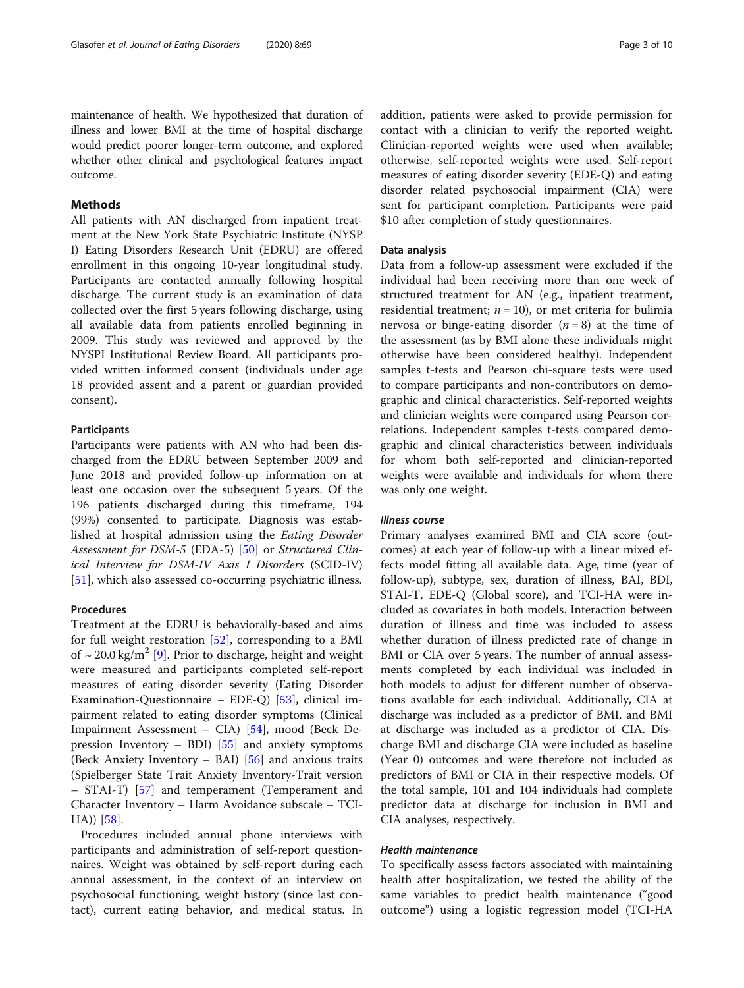maintenance of health. We hypothesized that duration of illness and lower BMI at the time of hospital discharge would predict poorer longer-term outcome, and explored whether other clinical and psychological features impact outcome.

## Methods

All patients with AN discharged from inpatient treatment at the New York State Psychiatric Institute (NYSP I) Eating Disorders Research Unit (EDRU) are offered enrollment in this ongoing 10-year longitudinal study. Participants are contacted annually following hospital discharge. The current study is an examination of data collected over the first 5 years following discharge, using all available data from patients enrolled beginning in 2009. This study was reviewed and approved by the NYSPI Institutional Review Board. All participants provided written informed consent (individuals under age 18 provided assent and a parent or guardian provided consent).

## Participants

Participants were patients with AN who had been discharged from the EDRU between September 2009 and June 2018 and provided follow-up information on at least one occasion over the subsequent 5 years. Of the 196 patients discharged during this timeframe, 194 (99%) consented to participate. Diagnosis was established at hospital admission using the Eating Disorder Assessment for DSM-5 (EDA-5) [\[50\]](#page-8-0) or Structured Clinical Interview for DSM-IV Axis I Disorders (SCID-IV) [[51\]](#page-8-0), which also assessed co-occurring psychiatric illness.

## Procedures

Treatment at the EDRU is behaviorally-based and aims for full weight restoration [\[52\]](#page-8-0), corresponding to a BMI of  $\sim$  20.0 kg/m<sup>2</sup> [[9\]](#page-8-0). Prior to discharge, height and weight were measured and participants completed self-report measures of eating disorder severity (Eating Disorder Examination-Questionnaire – EDE-Q) [[53\]](#page-8-0), clinical impairment related to eating disorder symptoms (Clinical Impairment Assessment – CIA) [\[54](#page-9-0)], mood (Beck Depression Inventory – BDI)  $[55]$  $[55]$  and anxiety symptoms (Beck Anxiety Inventory – BAI)  $[56]$  $[56]$  $[56]$  and anxious traits (Spielberger State Trait Anxiety Inventory-Trait version – STAI-T) [\[57\]](#page-9-0) and temperament (Temperament and Character Inventory – Harm Avoidance subscale – TCI- $HA)$  [[58](#page-9-0)].

Procedures included annual phone interviews with participants and administration of self-report questionnaires. Weight was obtained by self-report during each annual assessment, in the context of an interview on psychosocial functioning, weight history (since last contact), current eating behavior, and medical status. In addition, patients were asked to provide permission for contact with a clinician to verify the reported weight. Clinician-reported weights were used when available; otherwise, self-reported weights were used. Self-report measures of eating disorder severity (EDE-Q) and eating disorder related psychosocial impairment (CIA) were sent for participant completion. Participants were paid \$10 after completion of study questionnaires.

## Data analysis

Data from a follow-up assessment were excluded if the individual had been receiving more than one week of structured treatment for AN (e.g., inpatient treatment, residential treatment;  $n = 10$ ), or met criteria for bulimia nervosa or binge-eating disorder  $(n = 8)$  at the time of the assessment (as by BMI alone these individuals might otherwise have been considered healthy). Independent samples t-tests and Pearson chi-square tests were used to compare participants and non-contributors on demographic and clinical characteristics. Self-reported weights and clinician weights were compared using Pearson correlations. Independent samples t-tests compared demographic and clinical characteristics between individuals for whom both self-reported and clinician-reported weights were available and individuals for whom there was only one weight.

## Illness course

Primary analyses examined BMI and CIA score (outcomes) at each year of follow-up with a linear mixed effects model fitting all available data. Age, time (year of follow-up), subtype, sex, duration of illness, BAI, BDI, STAI-T, EDE-Q (Global score), and TCI-HA were included as covariates in both models. Interaction between duration of illness and time was included to assess whether duration of illness predicted rate of change in BMI or CIA over 5 years. The number of annual assessments completed by each individual was included in both models to adjust for different number of observations available for each individual. Additionally, CIA at discharge was included as a predictor of BMI, and BMI at discharge was included as a predictor of CIA. Discharge BMI and discharge CIA were included as baseline (Year 0) outcomes and were therefore not included as predictors of BMI or CIA in their respective models. Of the total sample, 101 and 104 individuals had complete predictor data at discharge for inclusion in BMI and CIA analyses, respectively.

## Health maintenance

To specifically assess factors associated with maintaining health after hospitalization, we tested the ability of the same variables to predict health maintenance ("good outcome") using a logistic regression model (TCI-HA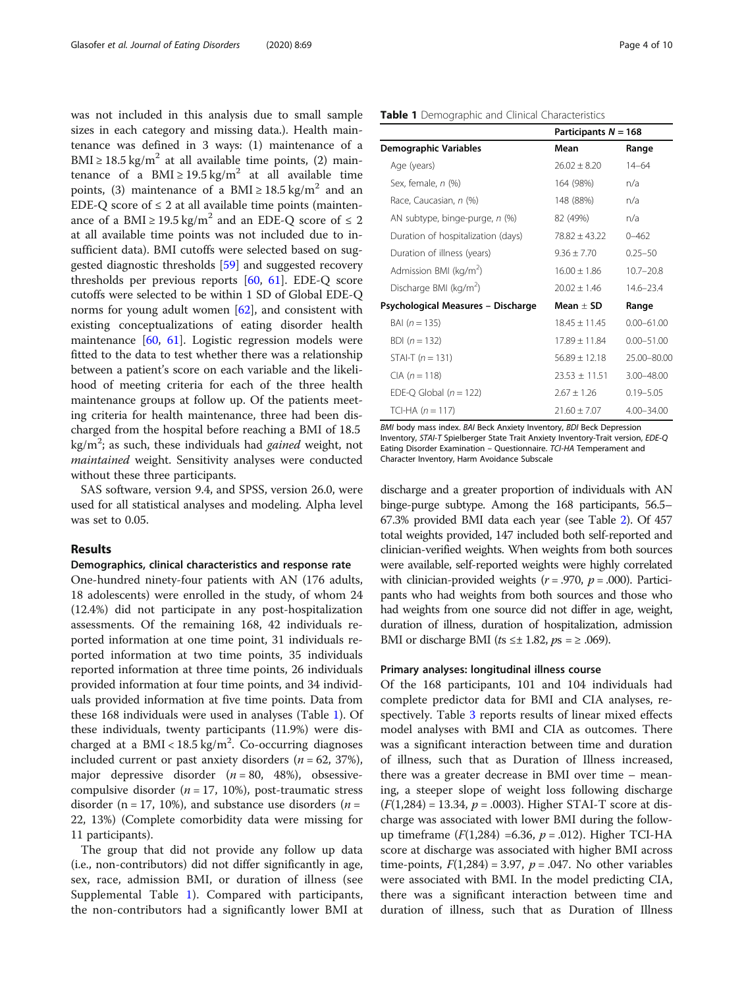was not included in this analysis due to small sample sizes in each category and missing data.). Health maintenance was defined in 3 ways: (1) maintenance of a BMI  $\geq$  18.5 kg/m<sup>2</sup> at all available time points, (2) maintenance of a BMI  $\geq$  19.5 kg/m<sup>2</sup> at all available time points, (3) maintenance of a BMI  $\geq$  18.5 kg/m<sup>2</sup> and an EDE-Q score of  $\leq 2$  at all available time points (maintenance of a BMI  $\geq$  19.5 kg/m<sup>2</sup> and an EDE-O score of  $\leq$  2 at all available time points was not included due to insufficient data). BMI cutoffs were selected based on suggested diagnostic thresholds [[59\]](#page-9-0) and suggested recovery thresholds per previous reports [\[60](#page-9-0), [61\]](#page-9-0). EDE-Q score cutoffs were selected to be within 1 SD of Global EDE-Q norms for young adult women [[62\]](#page-9-0), and consistent with existing conceptualizations of eating disorder health maintenance [[60,](#page-9-0) [61\]](#page-9-0). Logistic regression models were fitted to the data to test whether there was a relationship between a patient's score on each variable and the likelihood of meeting criteria for each of the three health maintenance groups at follow up. Of the patients meeting criteria for health maintenance, three had been discharged from the hospital before reaching a BMI of 18.5 kg/m<sup>2</sup>; as such, these individuals had *gained* weight, not maintained weight. Sensitivity analyses were conducted without these three participants.

SAS software, version 9.4, and SPSS, version 26.0, were used for all statistical analyses and modeling. Alpha level was set to 0.05.

#### Results

#### Demographics, clinical characteristics and response rate

One-hundred ninety-four patients with AN (176 adults, 18 adolescents) were enrolled in the study, of whom 24 (12.4%) did not participate in any post-hospitalization assessments. Of the remaining 168, 42 individuals reported information at one time point, 31 individuals reported information at two time points, 35 individuals reported information at three time points, 26 individuals provided information at four time points, and 34 individuals provided information at five time points. Data from these 168 individuals were used in analyses (Table 1). Of these individuals, twenty participants (11.9%) were discharged at a  $BMI < 18.5$  kg/m<sup>2</sup>. Co-occurring diagnoses included current or past anxiety disorders ( $n = 62, 37\%$ ), major depressive disorder  $(n = 80, 48%)$ , obsessivecompulsive disorder ( $n = 17$ , 10%), post-traumatic stress disorder (n = 17, 10%), and substance use disorders ( $n =$ 22, 13%) (Complete comorbidity data were missing for 11 participants).

The group that did not provide any follow up data (i.e., non-contributors) did not differ significantly in age, sex, race, admission BMI, or duration of illness (see Supplemental Table [1](#page-7-0)). Compared with participants, the non-contributors had a significantly lower BMI at

#### Table 1 Demographic and Clinical Characteristics

|                                    | Participants $N = 168$ |                |  |  |
|------------------------------------|------------------------|----------------|--|--|
| Demographic Variables              | Mean                   | Range          |  |  |
| Age (years)                        | $76.02 \pm 8.20$       | $14 - 64$      |  |  |
| Sex, female, n (%)                 | 164 (98%)              | n/a            |  |  |
| Race, Caucasian, n (%)             | 148 (88%)              | n/a            |  |  |
| AN subtype, binge-purge, n (%)     | 82 (49%)               | n/a            |  |  |
| Duration of hospitalization (days) | $78.82 + 43.22$        | $0 - 462$      |  |  |
| Duration of illness (years)        | $9.36 + 7.70$          | $0.25 - 50$    |  |  |
| Admission BMI (kg/m <sup>2</sup> ) | $16.00 \pm 1.86$       | $10.7 - 20.8$  |  |  |
| Discharge BMI (kg/m <sup>2</sup> ) | $20.02 + 1.46$         | $14.6 - 23.4$  |  |  |
| Psychological Measures - Discharge | Mean $+$ SD            | Range          |  |  |
| BAI $(n = 135)$                    | $18.45 + 11.45$        | $0.00 - 61.00$ |  |  |
| $BDI(n = 132)$                     | $17.89 + 11.84$        | $0.00 - 51.00$ |  |  |
| STAI-T $(n = 131)$                 | $56.89 \pm 12.18$      | 25.00-80.00    |  |  |
| $CIA (n = 118)$                    | $23.53 + 11.51$        | $3.00 - 48.00$ |  |  |
| EDE-Q Global $(n = 122)$           | $2.67 \pm 1.26$        | $0.19 - 5.05$  |  |  |
| TCI-HA $(n = 117)$                 | $21.60 \pm 7.07$       | $4.00 - 34.00$ |  |  |

BMI body mass index. BAI Beck Anxiety Inventory, BDI Beck Depression Inventory, STAI-T Spielberger State Trait Anxiety Inventory-Trait version, EDE-Q Eating Disorder Examination – Questionnaire. TCI-HA Temperament and Character Inventory, Harm Avoidance Subscale

discharge and a greater proportion of individuals with AN binge-purge subtype. Among the 168 participants, 56.5– 67.3% provided BMI data each year (see Table [2\)](#page-4-0). Of 457 total weights provided, 147 included both self-reported and clinician-verified weights. When weights from both sources were available, self-reported weights were highly correlated with clinician-provided weights ( $r = .970$ ,  $p = .000$ ). Participants who had weights from both sources and those who had weights from one source did not differ in age, weight, duration of illness, duration of hospitalization, admission BMI or discharge BMI ( $ts \leq \pm 1.82$ ,  $ps = \geq .069$ ).

#### Primary analyses: longitudinal illness course

Of the 168 participants, 101 and 104 individuals had complete predictor data for BMI and CIA analyses, respectively. Table [3](#page-4-0) reports results of linear mixed effects model analyses with BMI and CIA as outcomes. There was a significant interaction between time and duration of illness, such that as Duration of Illness increased, there was a greater decrease in BMI over time – meaning, a steeper slope of weight loss following discharge  $(F(1,284) = 13.34, p = .0003)$ . Higher STAI-T score at discharge was associated with lower BMI during the followup timeframe  $(F(1,284) = 6.36, p = .012)$ . Higher TCI-HA score at discharge was associated with higher BMI across time-points,  $F(1,284) = 3.97$ ,  $p = .047$ . No other variables were associated with BMI. In the model predicting CIA, there was a significant interaction between time and duration of illness, such that as Duration of Illness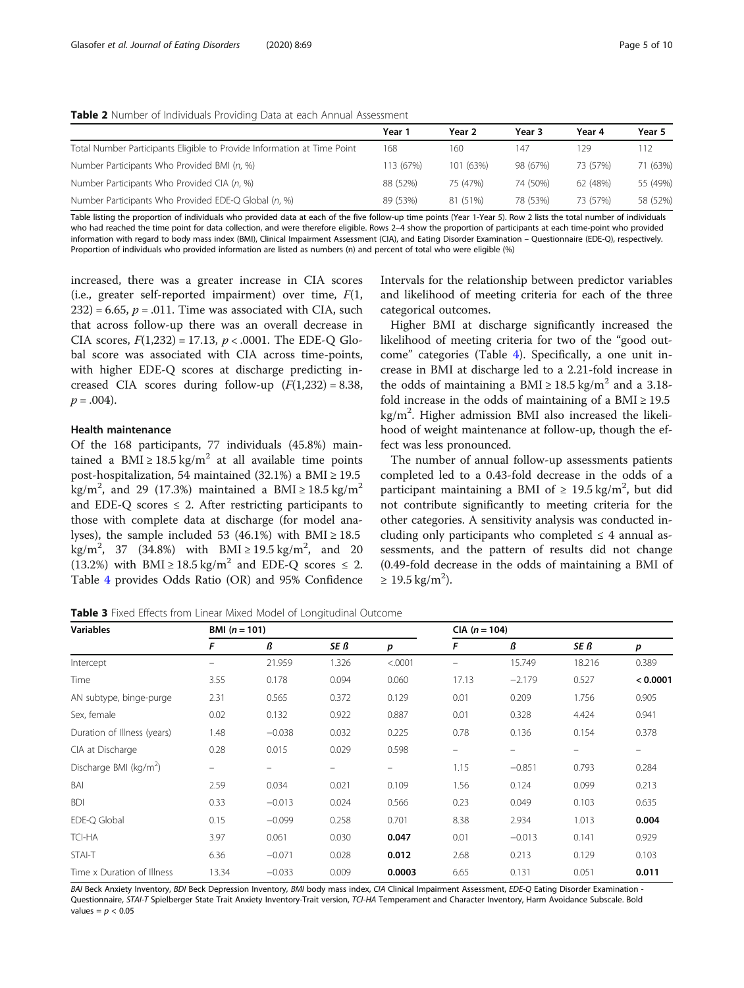#### <span id="page-4-0"></span>Table 2 Number of Individuals Providing Data at each Annual Assessment

|                                                                         | Year 1    | Year 2   | Year 3   | Year 4   | Year 5   |
|-------------------------------------------------------------------------|-----------|----------|----------|----------|----------|
| Total Number Participants Eligible to Provide Information at Time Point | 168       | 160      | 147      | 129      | 112      |
| Number Participants Who Provided BMI (n, %)                             | 113 (67%) | 101(63%) | 98 (67%) | 73 (57%) | 71 (63%) |
| Number Participants Who Provided CIA (n, %)                             | 88 (52%)  | 75 (47%) | 74 (50%) | 62 (48%) | 55 (49%) |
| Number Participants Who Provided EDE-Q Global (n, %)                    | 89 (53%)  | 81 (51%) | 78 (53%) | 73 (57%) | 58 (52%) |

Table listing the proportion of individuals who provided data at each of the five follow-up time points (Year 1-Year 5). Row 2 lists the total number of individuals who had reached the time point for data collection, and were therefore eligible. Rows 2–4 show the proportion of participants at each time-point who provided information with regard to body mass index (BMI), Clinical Impairment Assessment (CIA), and Eating Disorder Examination – Questionnaire (EDE-Q), respectively. Proportion of individuals who provided information are listed as numbers (n) and percent of total who were eligible (%)

increased, there was a greater increase in CIA scores (i.e., greater self-reported impairment) over time,  $F(1)$ ,  $232$ ) = 6.65,  $p = .011$ . Time was associated with CIA, such that across follow-up there was an overall decrease in CIA scores,  $F(1,232) = 17.13$ ,  $p < .0001$ . The EDE-Q Global score was associated with CIA across time-points, with higher EDE-Q scores at discharge predicting increased CIA scores during follow-up  $(F(1,232) = 8.38,$  $p = .004$ ).

## Health maintenance

Of the 168 participants, 77 individuals (45.8%) maintained a BMI ≥ 18.5 kg/m<sup>2</sup> at all available time points post-hospitalization, 54 maintained (32.1%) a BMI  $\geq$  19.5 kg/m<sup>2</sup>, and 29 (17.3%) maintained a BMI ≥ 18.5 kg/m<sup>2</sup> and EDE-Q scores  $\leq$  2. After restricting participants to those with complete data at discharge (for model analyses), the sample included 53 (46.1%) with BMI  $\geq$  18.5  $\text{kg/m}^2$ , 37 (34.8%) with BMI ≥ 19.5 kg/m<sup>2</sup>, and 20 (13.2%) with BMI  $\geq$  18.5 kg/m<sup>2</sup> and EDE-Q scores  $\leq$  2. Table [4](#page-5-0) provides Odds Ratio (OR) and 95% Confidence

Intervals for the relationship between predictor variables and likelihood of meeting criteria for each of the three categorical outcomes.

Higher BMI at discharge significantly increased the likelihood of meeting criteria for two of the "good outcome" categories (Table [4\)](#page-5-0). Specifically, a one unit increase in BMI at discharge led to a 2.21-fold increase in the odds of maintaining a BMI  $\geq 18.5 \text{ kg/m}^2$  and a 3.18fold increase in the odds of maintaining of a  $BMI \geq 19.5$ kg/m<sup>2</sup>. Higher admission BMI also increased the likelihood of weight maintenance at follow-up, though the effect was less pronounced.

The number of annual follow-up assessments patients completed led to a 0.43-fold decrease in the odds of a participant maintaining a BMI of  $\geq 19.5$  kg/m<sup>2</sup>, but did not contribute significantly to meeting criteria for the other categories. A sensitivity analysis was conducted including only participants who completed  $\leq 4$  annual assessments, and the pattern of results did not change (0.49-fold decrease in the odds of maintaining a BMI of  $≥ 19.5$  kg/m<sup>2</sup>).

Table 3 Fixed Effects from Linear Mixed Model of Longitudinal Outcome

| <b>Variables</b>                   | <b>BMI</b> $(n = 101)$ |          |                 |         | $CIA (n = 104)$ |          |                 |          |  |
|------------------------------------|------------------------|----------|-----------------|---------|-----------------|----------|-----------------|----------|--|
|                                    | F                      | ß        | SE <sub>B</sub> | p       | F               | ß        | SE <sub>B</sub> | p        |  |
| Intercept                          |                        | 21.959   | 1.326           | < .0001 |                 | 15.749   | 18.216          | 0.389    |  |
| Time                               | 3.55                   | 0.178    | 0.094           | 0.060   | 17.13           | $-2.179$ | 0.527           | < 0.0001 |  |
| AN subtype, binge-purge            | 2.31                   | 0.565    | 0.372           | 0.129   | 0.01            | 0.209    | 1.756           | 0.905    |  |
| Sex, female                        | 0.02                   | 0.132    | 0.922           | 0.887   | 0.01            | 0.328    | 4.424           | 0.941    |  |
| Duration of Illness (years)        | 1.48                   | $-0.038$ | 0.032           | 0.225   | 0.78            | 0.136    | 0.154           | 0.378    |  |
| CIA at Discharge                   | 0.28                   | 0.015    | 0.029           | 0.598   |                 |          |                 |          |  |
| Discharge BMI (kg/m <sup>2</sup> ) |                        |          |                 |         | 1.15            | $-0.851$ | 0.793           | 0.284    |  |
| BAI                                | 2.59                   | 0.034    | 0.021           | 0.109   | 1.56            | 0.124    | 0.099           | 0.213    |  |
| <b>BDI</b>                         | 0.33                   | $-0.013$ | 0.024           | 0.566   | 0.23            | 0.049    | 0.103           | 0.635    |  |
| EDE-Q Global                       | 0.15                   | $-0.099$ | 0.258           | 0.701   | 8.38            | 2.934    | 1.013           | 0.004    |  |
| <b>TCI-HA</b>                      | 3.97                   | 0.061    | 0.030           | 0.047   | 0.01            | $-0.013$ | 0.141           | 0.929    |  |
| STAI-T                             | 6.36                   | $-0.071$ | 0.028           | 0.012   | 2.68            | 0.213    | 0.129           | 0.103    |  |
| Time x Duration of Illness         | 13.34                  | $-0.033$ | 0.009           | 0.0003  | 6.65            | 0.131    | 0.051           | 0.011    |  |

BAI Beck Anxiety Inventory, BDI Beck Depression Inventory, BMI body mass index, CIA Clinical Impairment Assessment, EDE-Q Eating Disorder Examination -Questionnaire, STAI-T Spielberger State Trait Anxiety Inventory-Trait version, TCI-HA Temperament and Character Inventory, Harm Avoidance Subscale. Bold values =  $p < 0.05$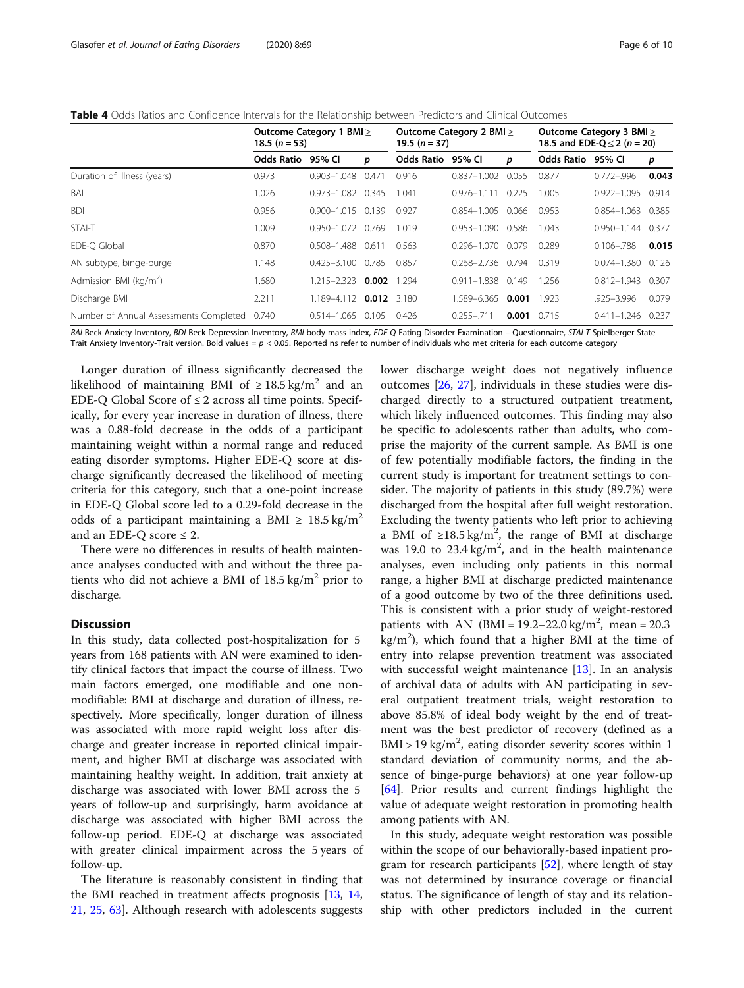<span id="page-5-0"></span>Table 4 Odds Ratios and Confidence Intervals for the Relationship between Predictors and Clinical Outcomes

|                                        | Outcome Category 1 BMI ≥<br>18.5 $(n = 53)$ |                         |       | Outcome Category 2 BMI ≥<br>19.5 $(n = 37)$ |                 |       | Outcome Category 3 BMI ≥<br>18.5 and EDE-Q $\leq$ 2 (n = 20) |                   |       |
|----------------------------------------|---------------------------------------------|-------------------------|-------|---------------------------------------------|-----------------|-------|--------------------------------------------------------------|-------------------|-------|
|                                        | <b>Odds Ratio</b>                           | 95% CI                  | p     | Odds Ratio 95% Cl                           |                 | p     | <b>Odds Ratio</b>                                            | 95% CI            | р     |
| Duration of Illness (years)            | 0.973                                       | $0.903 - 1.048$         | 0.471 | 0.916                                       | $0.837 - 1.002$ | 0.055 | 0.877                                                        | $0.772 - .996$    | 0.043 |
| BAI                                    | 1.026                                       | $0.973 - 1.082$         | 0.345 | 1.041                                       | $0.976 - 1.111$ | 0.225 | 1.005                                                        | $0.922 - 1.095$   | 0.914 |
| <b>BDI</b>                             | 0.956                                       | $0.900 - 1.015$         | 0.139 | 0.927                                       | $0.854 - 1.005$ | 0.066 | 0.953                                                        | $0.854 - 1.063$   | 0.385 |
| STAI-T                                 | 1.009                                       | $0.950 - 1.072$         | 0.769 | 1.019                                       | $0.953 - 1.090$ | 0.586 | 1.043                                                        | 0.950-1.144 0.377 |       |
| EDE-O Global                           | 0.870                                       | $0.508 - 1.488$         | 0.611 | 0.563                                       | 0.296-1.070     | 0.079 | 0.289                                                        | $0.106 - 788$     | 0.015 |
| AN subtype, binge-purge                | 1.148                                       | $0.425 - 3.100$         | 0.785 | 0.857                                       | 0.268-2.736     | 0.794 | 0.319                                                        | $0.074 - 1.380$   | 0.126 |
| Admission BMI ( $kg/m2$ )              | 1.680                                       | 1.215-2.323             | 0.002 | 1.294                                       | $0.911 - 1.838$ | 0.149 | 1.256                                                        | $0.812 - 1.943$   | 0.307 |
| Discharge BMI                          | 2.211                                       | 1.189-4.112 0.012 3.180 |       |                                             | 1.589–6.365     | 0.001 | 1.923                                                        | .925-3.996        | 0.079 |
| Number of Annual Assessments Completed | 0.740                                       | $0.514 - 1.065$         | 0.105 | 0.426                                       | $0.255 - 711$   | 0.001 | 0.715                                                        | $0.411 - 1.246$   | 0.237 |

BAI Beck Anxiety Inventory, BDI Beck Depression Inventory, BMI body mass index, EDE-Q Eating Disorder Examination - Questionnaire, STAI-T Spielberger State Trait Anxiety Inventory-Trait version. Bold values =  $p < 0.05$ . Reported ns refer to number of individuals who met criteria for each outcome category

Longer duration of illness significantly decreased the likelihood of maintaining BMI of  $\geq 18.5$  kg/m<sup>2</sup> and an EDE-Q Global Score of  $\leq$  2 across all time points. Specifically, for every year increase in duration of illness, there was a 0.88-fold decrease in the odds of a participant maintaining weight within a normal range and reduced eating disorder symptoms. Higher EDE-Q score at discharge significantly decreased the likelihood of meeting criteria for this category, such that a one-point increase in EDE-Q Global score led to a 0.29-fold decrease in the odds of a participant maintaining a BMI  $\geq 18.5 \text{ kg/m}^2$ and an EDE-Q score  $\leq 2$ .

There were no differences in results of health maintenance analyses conducted with and without the three patients who did not achieve a BMI of  $18.5 \text{ kg/m}^2$  prior to discharge.

#### **Discussion**

In this study, data collected post-hospitalization for 5 years from 168 patients with AN were examined to identify clinical factors that impact the course of illness. Two main factors emerged, one modifiable and one nonmodifiable: BMI at discharge and duration of illness, respectively. More specifically, longer duration of illness was associated with more rapid weight loss after discharge and greater increase in reported clinical impairment, and higher BMI at discharge was associated with maintaining healthy weight. In addition, trait anxiety at discharge was associated with lower BMI across the 5 years of follow-up and surprisingly, harm avoidance at discharge was associated with higher BMI across the follow-up period. EDE-Q at discharge was associated with greater clinical impairment across the 5 years of follow-up.

The literature is reasonably consistent in finding that the BMI reached in treatment affects prognosis [[13,](#page-8-0) [14](#page-8-0), [21,](#page-8-0) [25,](#page-8-0) [63](#page-9-0)]. Although research with adolescents suggests lower discharge weight does not negatively influence outcomes [[26,](#page-8-0) [27](#page-8-0)], individuals in these studies were discharged directly to a structured outpatient treatment, which likely influenced outcomes. This finding may also be specific to adolescents rather than adults, who comprise the majority of the current sample. As BMI is one of few potentially modifiable factors, the finding in the current study is important for treatment settings to consider. The majority of patients in this study (89.7%) were discharged from the hospital after full weight restoration. Excluding the twenty patients who left prior to achieving a BMI of ≥18.5 kg/m<sup>2</sup>, the range of BMI at discharge was 19.0 to  $23.4 \text{ kg/m}^2$ , and in the health maintenance analyses, even including only patients in this normal range, a higher BMI at discharge predicted maintenance of a good outcome by two of the three definitions used. This is consistent with a prior study of weight-restored patients with AN (BMI =  $19.2 - 22.0$  kg/m<sup>2</sup>, mean =  $20.3$  $kg/m<sup>2</sup>$ ), which found that a higher BMI at the time of entry into relapse prevention treatment was associated with successful weight maintenance [[13](#page-8-0)]. In an analysis of archival data of adults with AN participating in several outpatient treatment trials, weight restoration to above 85.8% of ideal body weight by the end of treatment was the best predictor of recovery (defined as a  $BMI > 19$  kg/m<sup>2</sup>, eating disorder severity scores within 1 standard deviation of community norms, and the absence of binge-purge behaviors) at one year follow-up [[64\]](#page-9-0). Prior results and current findings highlight the value of adequate weight restoration in promoting health among patients with AN.

In this study, adequate weight restoration was possible within the scope of our behaviorally-based inpatient program for research participants [\[52\]](#page-8-0), where length of stay was not determined by insurance coverage or financial status. The significance of length of stay and its relationship with other predictors included in the current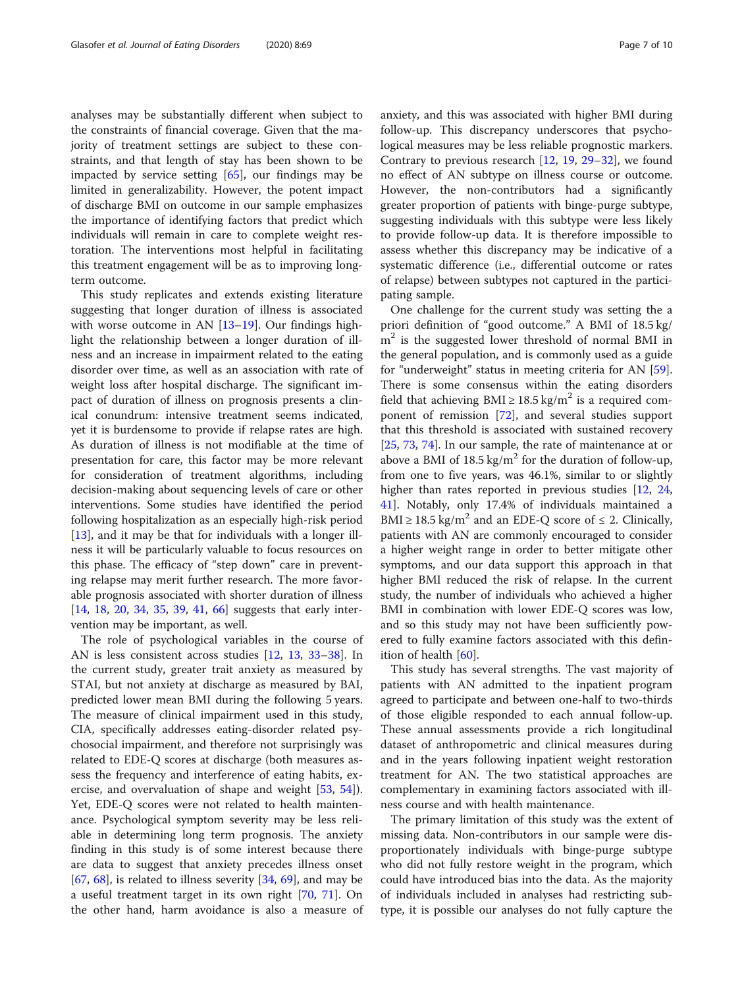analyses may be substantially different when subject to the constraints of financial coverage. Given that the majority of treatment settings are subject to these constraints, and that length of stay has been shown to be impacted by service setting [\[65\]](#page-9-0), our findings may be limited in generalizability. However, the potent impact of discharge BMI on outcome in our sample emphasizes the importance of identifying factors that predict which individuals will remain in care to complete weight restoration. The interventions most helpful in facilitating this treatment engagement will be as to improving longterm outcome.

This study replicates and extends existing literature suggesting that longer duration of illness is associated with worse outcome in AN [[13](#page-8-0)–[19\]](#page-8-0). Our findings highlight the relationship between a longer duration of illness and an increase in impairment related to the eating disorder over time, as well as an association with rate of weight loss after hospital discharge. The significant impact of duration of illness on prognosis presents a clinical conundrum: intensive treatment seems indicated, yet it is burdensome to provide if relapse rates are high. As duration of illness is not modifiable at the time of presentation for care, this factor may be more relevant for consideration of treatment algorithms, including decision-making about sequencing levels of care or other interventions. Some studies have identified the period following hospitalization as an especially high-risk period [[13\]](#page-8-0), and it may be that for individuals with a longer illness it will be particularly valuable to focus resources on this phase. The efficacy of "step down" care in preventing relapse may merit further research. The more favorable prognosis associated with shorter duration of illness [[14,](#page-8-0) [18](#page-8-0), [20](#page-8-0), [34](#page-8-0), [35,](#page-8-0) [39,](#page-8-0) [41](#page-8-0), [66](#page-9-0)] suggests that early intervention may be important, as well.

The role of psychological variables in the course of AN is less consistent across studies [[12](#page-8-0), [13,](#page-8-0) [33](#page-8-0)–[38](#page-8-0)]. In the current study, greater trait anxiety as measured by STAI, but not anxiety at discharge as measured by BAI, predicted lower mean BMI during the following 5 years. The measure of clinical impairment used in this study, CIA, specifically addresses eating-disorder related psychosocial impairment, and therefore not surprisingly was related to EDE-Q scores at discharge (both measures assess the frequency and interference of eating habits, exercise, and overvaluation of shape and weight [\[53](#page-8-0), [54](#page-9-0)]). Yet, EDE-Q scores were not related to health maintenance. Psychological symptom severity may be less reliable in determining long term prognosis. The anxiety finding in this study is of some interest because there are data to suggest that anxiety precedes illness onset  $[67, 68]$  $[67, 68]$  $[67, 68]$  $[67, 68]$ , is related to illness severity  $[34, 69]$  $[34, 69]$  $[34, 69]$  $[34, 69]$ , and may be a useful treatment target in its own right [[70](#page-9-0), [71\]](#page-9-0). On the other hand, harm avoidance is also a measure of anxiety, and this was associated with higher BMI during follow-up. This discrepancy underscores that psychological measures may be less reliable prognostic markers. Contrary to previous research  $[12, 19, 29-32]$  $[12, 19, 29-32]$  $[12, 19, 29-32]$  $[12, 19, 29-32]$  $[12, 19, 29-32]$  $[12, 19, 29-32]$  $[12, 19, 29-32]$  $[12, 19, 29-32]$  $[12, 19, 29-32]$ , we found no effect of AN subtype on illness course or outcome. However, the non-contributors had a significantly greater proportion of patients with binge-purge subtype, suggesting individuals with this subtype were less likely to provide follow-up data. It is therefore impossible to assess whether this discrepancy may be indicative of a systematic difference (i.e., differential outcome or rates of relapse) between subtypes not captured in the participating sample.

One challenge for the current study was setting the a priori definition of "good outcome." A BMI of 18.5 kg/  $m<sup>2</sup>$  is the suggested lower threshold of normal BMI in the general population, and is commonly used as a guide for "underweight" status in meeting criteria for AN [\[59](#page-9-0)]. There is some consensus within the eating disorders field that achieving BMI  $\geq 18.5 \text{ kg/m}^2$  is a required component of remission [[72\]](#page-9-0), and several studies support that this threshold is associated with sustained recovery [[25,](#page-8-0) [73,](#page-9-0) [74\]](#page-9-0). In our sample, the rate of maintenance at or above a BMI of  $18.5 \text{ kg/m}^2$  for the duration of follow-up, from one to five years, was 46.1%, similar to or slightly higher than rates reported in previous studies [[12,](#page-8-0) [24](#page-8-0), [41\]](#page-8-0). Notably, only 17.4% of individuals maintained a BMI  $\geq$  18.5 kg/m<sup>2</sup> and an EDE-Q score of  $\leq$  2. Clinically, patients with AN are commonly encouraged to consider a higher weight range in order to better mitigate other symptoms, and our data support this approach in that higher BMI reduced the risk of relapse. In the current study, the number of individuals who achieved a higher BMI in combination with lower EDE-Q scores was low, and so this study may not have been sufficiently powered to fully examine factors associated with this definition of health [[60](#page-9-0)].

This study has several strengths. The vast majority of patients with AN admitted to the inpatient program agreed to participate and between one-half to two-thirds of those eligible responded to each annual follow-up. These annual assessments provide a rich longitudinal dataset of anthropometric and clinical measures during and in the years following inpatient weight restoration treatment for AN. The two statistical approaches are complementary in examining factors associated with illness course and with health maintenance.

The primary limitation of this study was the extent of missing data. Non-contributors in our sample were disproportionately individuals with binge-purge subtype who did not fully restore weight in the program, which could have introduced bias into the data. As the majority of individuals included in analyses had restricting subtype, it is possible our analyses do not fully capture the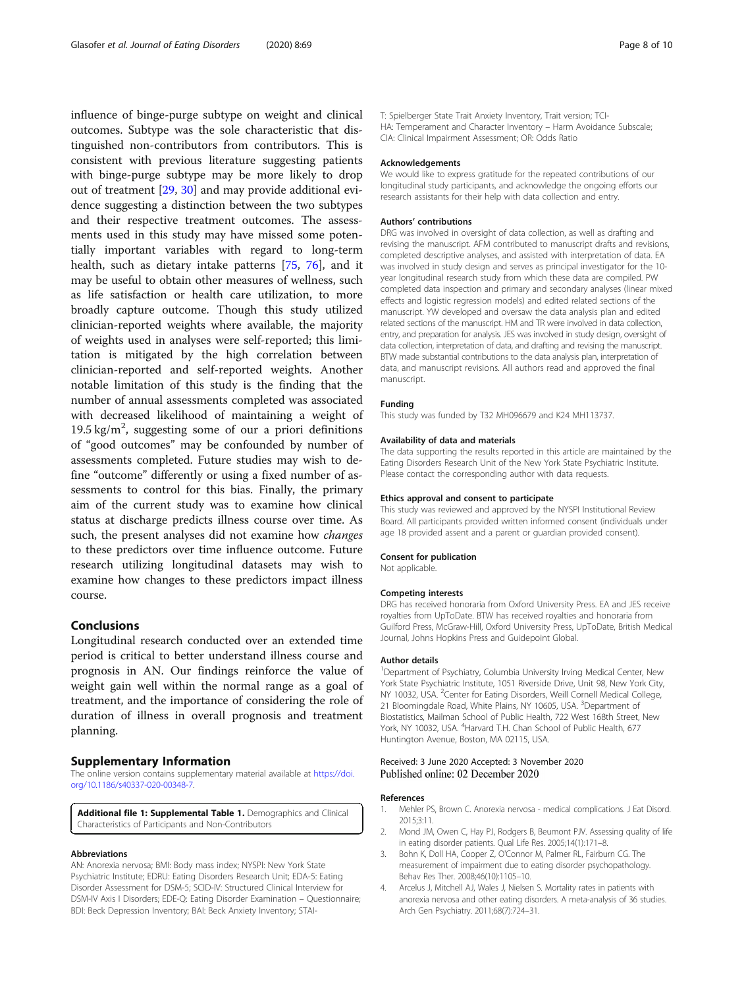<span id="page-7-0"></span>influence of binge-purge subtype on weight and clinical outcomes. Subtype was the sole characteristic that distinguished non-contributors from contributors. This is consistent with previous literature suggesting patients with binge-purge subtype may be more likely to drop out of treatment [\[29,](#page-8-0) [30\]](#page-8-0) and may provide additional evidence suggesting a distinction between the two subtypes and their respective treatment outcomes. The assessments used in this study may have missed some potentially important variables with regard to long-term health, such as dietary intake patterns [\[75](#page-9-0), [76](#page-9-0)], and it may be useful to obtain other measures of wellness, such as life satisfaction or health care utilization, to more broadly capture outcome. Though this study utilized clinician-reported weights where available, the majority of weights used in analyses were self-reported; this limitation is mitigated by the high correlation between clinician-reported and self-reported weights. Another notable limitation of this study is the finding that the number of annual assessments completed was associated with decreased likelihood of maintaining a weight of 19.5 kg/ $m^2$ , suggesting some of our a priori definitions of "good outcomes" may be confounded by number of assessments completed. Future studies may wish to define "outcome" differently or using a fixed number of assessments to control for this bias. Finally, the primary aim of the current study was to examine how clinical status at discharge predicts illness course over time. As such, the present analyses did not examine how *changes* to these predictors over time influence outcome. Future research utilizing longitudinal datasets may wish to examine how changes to these predictors impact illness course.

## Conclusions

Longitudinal research conducted over an extended time period is critical to better understand illness course and prognosis in AN. Our findings reinforce the value of weight gain well within the normal range as a goal of treatment, and the importance of considering the role of duration of illness in overall prognosis and treatment planning.

## Supplementary Information

The online version contains supplementary material available at [https://doi.](https://doi.org/10.1186/s40337-020-00348-7) [org/10.1186/s40337-020-00348-7.](https://doi.org/10.1186/s40337-020-00348-7)

Additional file 1: Supplemental Table 1. Demographics and Clinical Characteristics of Participants and Non-Contributors

#### Abbreviations

AN: Anorexia nervosa; BMI: Body mass index; NYSPI: New York State Psychiatric Institute; EDRU: Eating Disorders Research Unit; EDA-5: Eating Disorder Assessment for DSM-5; SCID-IV: Structured Clinical Interview for DSM-IV Axis I Disorders; EDE-Q: Eating Disorder Examination – Questionnaire; BDI: Beck Depression Inventory; BAI: Beck Anxiety Inventory; STAI-

T: Spielberger State Trait Anxiety Inventory, Trait version; TCI-HA: Temperament and Character Inventory – Harm Avoidance Subscale; CIA: Clinical Impairment Assessment; OR: Odds Ratio

#### Acknowledgements

We would like to express gratitude for the repeated contributions of our longitudinal study participants, and acknowledge the ongoing efforts our research assistants for their help with data collection and entry.

#### Authors' contributions

DRG was involved in oversight of data collection, as well as drafting and revising the manuscript. AFM contributed to manuscript drafts and revisions, completed descriptive analyses, and assisted with interpretation of data. EA was involved in study design and serves as principal investigator for the 10 year longitudinal research study from which these data are compiled. PW completed data inspection and primary and secondary analyses (linear mixed effects and logistic regression models) and edited related sections of the manuscript. YW developed and oversaw the data analysis plan and edited related sections of the manuscript. HM and TR were involved in data collection, entry, and preparation for analysis. JES was involved in study design, oversight of data collection, interpretation of data, and drafting and revising the manuscript. BTW made substantial contributions to the data analysis plan, interpretation of data, and manuscript revisions. All authors read and approved the final manuscript.

#### Funding

This study was funded by T32 MH096679 and K24 MH113737.

#### Availability of data and materials

The data supporting the results reported in this article are maintained by the Eating Disorders Research Unit of the New York State Psychiatric Institute. Please contact the corresponding author with data requests.

#### Ethics approval and consent to participate

This study was reviewed and approved by the NYSPI Institutional Review Board. All participants provided written informed consent (individuals under age 18 provided assent and a parent or guardian provided consent).

#### Consent for publication

Not applicable.

#### Competing interests

DRG has received honoraria from Oxford University Press. EA and JES receive royalties from UpToDate. BTW has received royalties and honoraria from Guilford Press, McGraw-Hill, Oxford University Press, UpToDate, British Medical Journal, Johns Hopkins Press and Guidepoint Global.

#### Author details

<sup>1</sup>Department of Psychiatry, Columbia University Irving Medical Center, New York State Psychiatric Institute, 1051 Riverside Drive, Unit 98, New York City, NY 10032, USA. <sup>2</sup>Center for Eating Disorders, Weill Cornell Medical College 21 Bloomingdale Road, White Plains, NY 10605, USA. <sup>3</sup>Department of Biostatistics, Mailman School of Public Health, 722 West 168th Street, New York, NY 10032, USA. <sup>4</sup> Harvard T.H. Chan School of Public Health, 677 Huntington Avenue, Boston, MA 02115, USA.

#### Received: 3 June 2020 Accepted: 3 November 2020 Published online: 02 December 2020

#### References

- 1. Mehler PS, Brown C. Anorexia nervosa medical complications. J Eat Disord. 2015;3:11.
- 2. Mond JM, Owen C, Hay PJ, Rodgers B, Beumont PJV. Assessing quality of life in eating disorder patients. Qual Life Res. 2005;14(1):171–8.
- 3. Bohn K, Doll HA, Cooper Z, O'Connor M, Palmer RL, Fairburn CG. The measurement of impairment due to eating disorder psychopathology. Behav Res Ther. 2008;46(10):1105–10.
- 4. Arcelus J, Mitchell AJ, Wales J, Nielsen S. Mortality rates in patients with anorexia nervosa and other eating disorders. A meta-analysis of 36 studies. Arch Gen Psychiatry. 2011;68(7):724–31.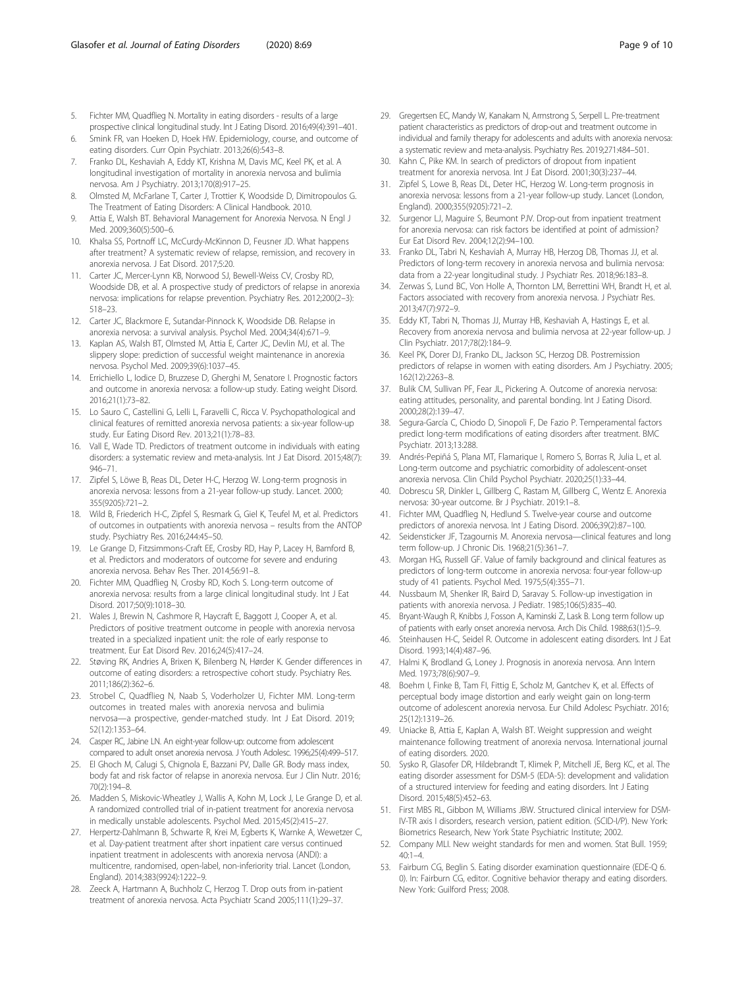- <span id="page-8-0"></span>5. Fichter MM, Quadflieg N. Mortality in eating disorders - results of a large prospective clinical longitudinal study. Int J Eating Disord. 2016;49(4):391–401.
- 6. Smink FR, van Hoeken D, Hoek HW. Epidemiology, course, and outcome of eating disorders. Curr Opin Psychiatr. 2013;26(6):543–8.
- 7. Franko DL, Keshaviah A, Eddy KT, Krishna M, Davis MC, Keel PK, et al. A longitudinal investigation of mortality in anorexia nervosa and bulimia nervosa. Am J Psychiatry. 2013;170(8):917–25.
- 8. Olmsted M, McFarlane T, Carter J, Trottier K, Woodside D, Dimitropoulos G. The Treatment of Eating Disorders: A Clinical Handbook. 2010.
- 9. Attia E, Walsh BT. Behavioral Management for Anorexia Nervosa. N Engl J Med. 2009;360(5):500–6.
- 10. Khalsa SS, Portnoff LC, McCurdy-McKinnon D, Feusner JD. What happens after treatment? A systematic review of relapse, remission, and recovery in anorexia nervosa. J Eat Disord. 2017;5:20.
- 11. Carter JC, Mercer-Lynn KB, Norwood SJ, Bewell-Weiss CV, Crosby RD, Woodside DB, et al. A prospective study of predictors of relapse in anorexia nervosa: implications for relapse prevention. Psychiatry Res. 2012;200(2–3): 518–23.
- 12. Carter JC, Blackmore E, Sutandar-Pinnock K, Woodside DB. Relapse in anorexia nervosa: a survival analysis. Psychol Med. 2004;34(4):671–9.
- 13. Kaplan AS, Walsh BT, Olmsted M, Attia E, Carter JC, Devlin MJ, et al. The slippery slope: prediction of successful weight maintenance in anorexia nervosa. Psychol Med. 2009;39(6):1037–45.
- 14. Errichiello L, Iodice D, Bruzzese D, Gherghi M, Senatore I. Prognostic factors and outcome in anorexia nervosa: a follow-up study. Eating weight Disord. 2016;21(1):73–82.
- 15. Lo Sauro C, Castellini G, Lelli L, Faravelli C, Ricca V. Psychopathological and clinical features of remitted anorexia nervosa patients: a six-year follow-up study. Eur Eating Disord Rev. 2013;21(1):78–83.
- 16. Vall E, Wade TD. Predictors of treatment outcome in individuals with eating disorders: a systematic review and meta-analysis. Int J Eat Disord. 2015;48(7): 946–71.
- 17. Zipfel S, Löwe B, Reas DL, Deter H-C, Herzog W. Long-term prognosis in anorexia nervosa: lessons from a 21-year follow-up study. Lancet. 2000; 355(9205):721–2.
- 18. Wild B, Friederich H-C, Zipfel S, Resmark G, Giel K, Teufel M, et al. Predictors of outcomes in outpatients with anorexia nervosa – results from the ANTOP study. Psychiatry Res. 2016;244:45–50.
- 19. Le Grange D, Fitzsimmons-Craft EE, Crosby RD, Hay P, Lacey H, Bamford B, et al. Predictors and moderators of outcome for severe and enduring anorexia nervosa. Behav Res Ther. 2014;56:91–8.
- 20. Fichter MM, Quadflieg N, Crosby RD, Koch S. Long-term outcome of anorexia nervosa: results from a large clinical longitudinal study. Int J Eat Disord. 2017;50(9):1018–30.
- 21. Wales J, Brewin N, Cashmore R, Haycraft E, Baggott J, Cooper A, et al. Predictors of positive treatment outcome in people with anorexia nervosa treated in a specialized inpatient unit: the role of early response to treatment. Eur Eat Disord Rev. 2016;24(5):417–24.
- 22. Støving RK, Andries A, Brixen K, Bilenberg N, Hørder K. Gender differences in outcome of eating disorders: a retrospective cohort study. Psychiatry Res. 2011;186(2):362–6.
- 23. Strobel C, Quadflieg N, Naab S, Voderholzer U, Fichter MM. Long-term outcomes in treated males with anorexia nervosa and bulimia nervosa—a prospective, gender-matched study. Int J Eat Disord. 2019; 52(12):1353–64.
- 24. Casper RC, Jabine LN. An eight-year follow-up: outcome from adolescent compared to adult onset anorexia nervosa. J Youth Adolesc. 1996;25(4):499–517.
- 25. El Ghoch M, Calugi S, Chignola E, Bazzani PV, Dalle GR. Body mass index, body fat and risk factor of relapse in anorexia nervosa. Eur J Clin Nutr. 2016; 70(2):194–8.
- 26. Madden S, Miskovic-Wheatley J, Wallis A, Kohn M, Lock J, Le Grange D, et al. A randomized controlled trial of in-patient treatment for anorexia nervosa in medically unstable adolescents. Psychol Med. 2015;45(2):415–27.
- 27. Herpertz-Dahlmann B, Schwarte R, Krei M, Egberts K, Warnke A, Wewetzer C, et al. Day-patient treatment after short inpatient care versus continued inpatient treatment in adolescents with anorexia nervosa (ANDI): a multicentre, randomised, open-label, non-inferiority trial. Lancet (London, England). 2014;383(9924):1222–9.
- 28. Zeeck A, Hartmann A, Buchholz C, Herzog T. Drop outs from in-patient treatment of anorexia nervosa. Acta Psychiatr Scand 2005;111(1):29–37.
- 29. Gregertsen EC, Mandy W, Kanakam N, Armstrong S, Serpell L. Pre-treatment patient characteristics as predictors of drop-out and treatment outcome in individual and family therapy for adolescents and adults with anorexia nervosa: a systematic review and meta-analysis. Psychiatry Res. 2019;271:484–501.
- 30. Kahn C, Pike KM. In search of predictors of dropout from inpatient treatment for anorexia nervosa. Int J Eat Disord. 2001;30(3):237–44.
- 31. Zipfel S, Lowe B, Reas DL, Deter HC, Herzog W. Long-term prognosis in anorexia nervosa: lessons from a 21-year follow-up study. Lancet (London, England). 2000;355(9205):721–2.
- 32. Surgenor LJ, Maguire S, Beumont PJV, Drop-out from inpatient treatment for anorexia nervosa: can risk factors be identified at point of admission? Eur Eat Disord Rev. 2004;12(2):94–100.
- 33. Franko DL, Tabri N, Keshaviah A, Murray HB, Herzog DB, Thomas JJ, et al. Predictors of long-term recovery in anorexia nervosa and bulimia nervosa: data from a 22-year longitudinal study. J Psychiatr Res. 2018;96:183–8.
- 34. Zerwas S, Lund BC, Von Holle A, Thornton LM, Berrettini WH, Brandt H, et al. Factors associated with recovery from anorexia nervosa. J Psychiatr Res. 2013;47(7):972–9.
- 35. Eddy KT, Tabri N, Thomas JJ, Murray HB, Keshaviah A, Hastings E, et al. Recovery from anorexia nervosa and bulimia nervosa at 22-year follow-up. J Clin Psychiatr. 2017;78(2):184–9.
- Keel PK, Dorer DJ, Franko DL, Jackson SC, Herzog DB. Postremission predictors of relapse in women with eating disorders. Am J Psychiatry. 2005; 162(12):2263–8.
- 37. Bulik CM, Sullivan PF, Fear JL, Pickering A. Outcome of anorexia nervosa: eating attitudes, personality, and parental bonding. Int J Eating Disord. 2000;28(2):139–47.
- 38. Segura-García C, Chiodo D, Sinopoli F, De Fazio P. Temperamental factors predict long-term modifications of eating disorders after treatment. BMC Psychiatr. 2013;13:288.
- 39. Andrés-Pepiñá S, Plana MT, Flamarique I, Romero S, Borras R, Julia L, et al. Long-term outcome and psychiatric comorbidity of adolescent-onset anorexia nervosa. Clin Child Psychol Psychiatr. 2020;25(1):33–44.
- 40. Dobrescu SR, Dinkler L, Gillberg C, Rastam M, Gillberg C, Wentz E. Anorexia nervosa: 30-year outcome. Br J Psychiatr. 2019:1–8.
- 41. Fichter MM, Quadflieg N, Hedlund S. Twelve-year course and outcome predictors of anorexia nervosa. Int J Eating Disord. 2006;39(2):87–100.
- 42. Seidensticker JF, Tzagournis M. Anorexia nervosa—clinical features and long term follow-up. J Chronic Dis. 1968;21(5):361–7.
- 43. Morgan HG, Russell GF. Value of family background and clinical features as predictors of long-term outcome in anorexia nervosa: four-year follow-up study of 41 patients. Psychol Med. 1975;5(4):355–71.
- 44. Nussbaum M, Shenker IR, Baird D, Saravay S. Follow-up investigation in patients with anorexia nervosa. J Pediatr. 1985;106(5):835–40.
- 45. Bryant-Waugh R, Knibbs J, Fosson A, Kaminski Z, Lask B. Long term follow up of patients with early onset anorexia nervosa. Arch Dis Child. 1988;63(1):5–9.
- 46. Steinhausen H-C, Seidel R. Outcome in adolescent eating disorders. Int J Eat Disord. 1993;14(4):487–96.
- 47. Halmi K, Brodland G, Loney J. Prognosis in anorexia nervosa. Ann Intern Med. 1973;78(6):907–9.
- 48. Boehm I, Finke B, Tam FI, Fittig E, Scholz M, Gantchev K, et al. Effects of perceptual body image distortion and early weight gain on long-term outcome of adolescent anorexia nervosa. Eur Child Adolesc Psychiatr. 2016; 25(12):1319–26.
- 49. Uniacke B, Attia E, Kaplan A, Walsh BT. Weight suppression and weight maintenance following treatment of anorexia nervosa. International journal of eating disorders. 2020.
- 50. Sysko R, Glasofer DR, Hildebrandt T, Klimek P, Mitchell JE, Berg KC, et al. The eating disorder assessment for DSM-5 (EDA-5): development and validation of a structured interview for feeding and eating disorders. Int J Eating Disord. 2015;48(5):452–63.
- 51. First MBS RL, Gibbon M, Williams JBW. Structured clinical interview for DSM-IV-TR axis I disorders, research version, patient edition. (SCID-I/P). New York: Biometrics Research, New York State Psychiatric Institute; 2002.
- 52. Company MLI. New weight standards for men and women. Stat Bull. 1959; 40:1–4.
- 53. Fairburn CG, Beglin S. Eating disorder examination questionnaire (EDE-Q 6. 0). In: Fairburn CG, editor. Cognitive behavior therapy and eating disorders. New York: Guilford Press; 2008.